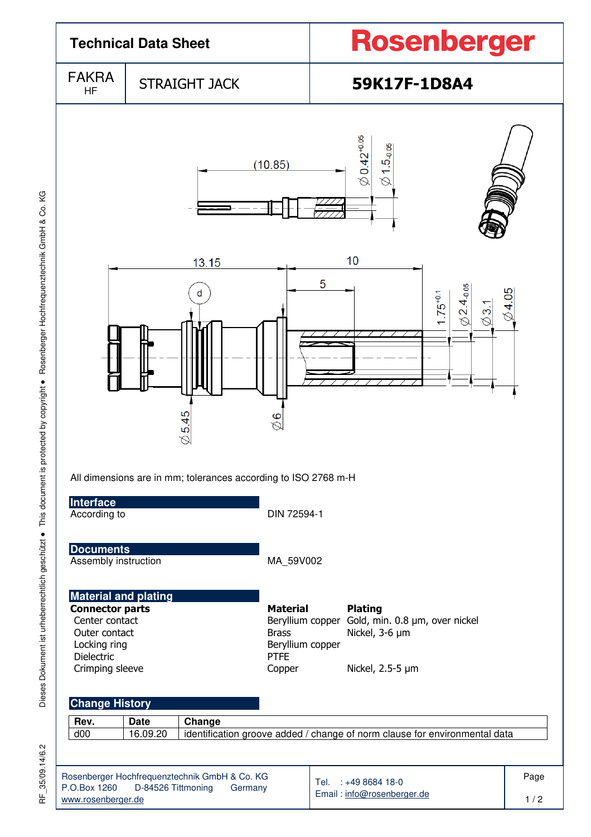| <b>Technical Data Sheet</b>                                                                                                                                                            |                         |                                                          | Rosenberger                                                                                                                 |  |  |  |  |  |
|----------------------------------------------------------------------------------------------------------------------------------------------------------------------------------------|-------------------------|----------------------------------------------------------|-----------------------------------------------------------------------------------------------------------------------------|--|--|--|--|--|
| <b>FAKRA</b><br><b>HF</b>                                                                                                                                                              |                         | <b>STRAIGHT JACK</b>                                     | 59K17F-1D8A4                                                                                                                |  |  |  |  |  |
|                                                                                                                                                                                        |                         | (10.85)                                                  | $\varnothing$ 0.42 $^{\text{+0.05}}$<br>$\varnothing$ 1.5 <sub>-0.05</sub>                                                  |  |  |  |  |  |
| 10<br>13.15<br>5<br>$0.24_{-0.05}$<br>$\oslash$ 4.05<br>d<br>$.75^{+0.1}$<br>$\overline{3}$<br>5.45<br>$\frac{6}{6}$<br>All dimensions are in mm; tolerances according to ISO 2768 m-H |                         |                                                          |                                                                                                                             |  |  |  |  |  |
| Interface<br>According to                                                                                                                                                              |                         |                                                          | DIN 72594-1                                                                                                                 |  |  |  |  |  |
| <b>Documents</b><br>Assembly instruction                                                                                                                                               |                         |                                                          | MA_59V002                                                                                                                   |  |  |  |  |  |
| <b>Material and plating</b><br><b>Connector parts</b><br>Center contact<br>Outer contact<br>Locking ring<br>Dielectric<br>Crimping sleeve                                              |                         | <b>Material</b><br><b>Brass</b><br><b>PTFE</b><br>Copper | <b>Plating</b><br>Beryllium copper Gold, min. 0.8 µm, over nickel<br>Nickel, 3-6 µm<br>Beryllium copper<br>Nickel, 2.5-5 µm |  |  |  |  |  |
| <b>Change History</b><br>Rev.<br>d00                                                                                                                                                   | <b>Date</b><br>16.09.20 | Change                                                   | identification groove added / change of norm clause for environmental data                                                  |  |  |  |  |  |
| Rosenberger Hochfrequenztechnik GmbH & Co. KG<br>P.O.Box 1260<br>www.rosenberger.de                                                                                                    | D-84526 Tittmoning      | Tel. : +49 8684 18-0<br>Email: info@rosenberger.de       | Page<br>1/2                                                                                                                 |  |  |  |  |  |

Dieses Dokument ist urheberrechtlich geschützt · This document is protected by copyright · Rosenberger Hochfrequenztechnik GmbH & Co. KG Dieses Dokument ist urheberrechtlich geschützt ● This document is protected by copyright ● Rosenberger Hochfrequenztechnik GmbH & Co. KG

RF\_35/09.14/6.2 RF\_35/09.14/6.2